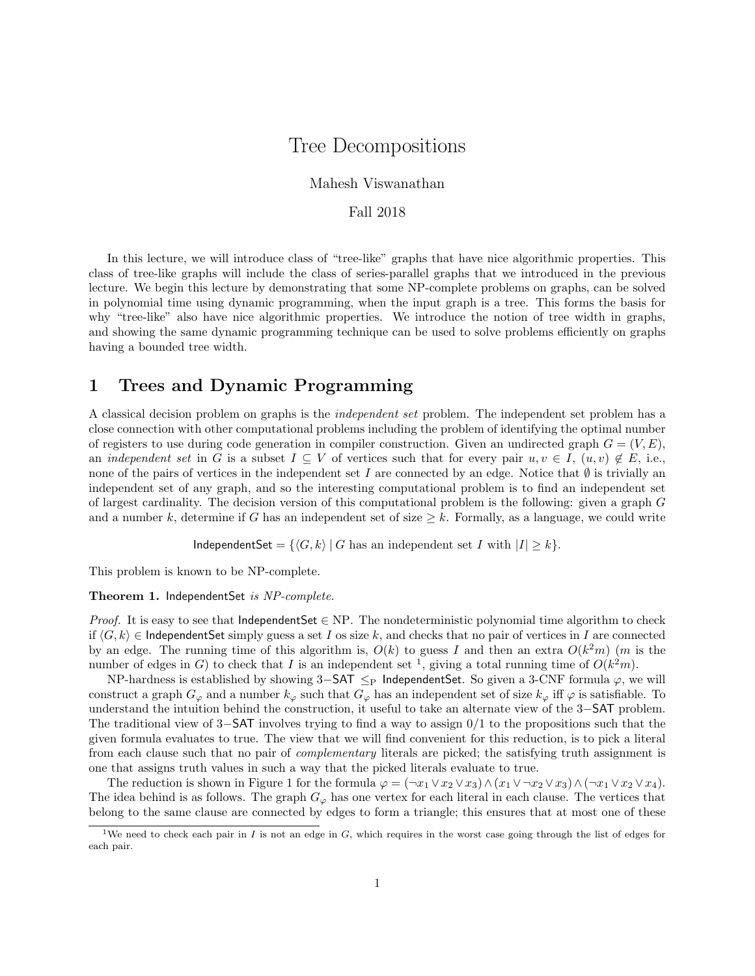# Tree Decompositions

Mahesh Viswanathan

Fall 2018

In this lecture, we will introduce class of "tree-like" graphs that have nice algorithmic properties. This class of tree-like graphs will include the class of series-parallel graphs that we introduced in the previous lecture. We begin this lecture by demonstrating that some NP-complete problems on graphs, can be solved in polynomial time using dynamic programming, when the input graph is a tree. This forms the basis for why "tree-like" also have nice algorithmic properties. We introduce the notion of tree width in graphs, and showing the same dynamic programming technique can be used to solve problems efficiently on graphs having a bounded tree width.

### 1 Trees and Dynamic Programming

A classical decision problem on graphs is the independent set problem. The independent set problem has a close connection with other computational problems including the problem of identifying the optimal number of registers to use during code generation in compiler construction. Given an undirected graph  $G = (V, E)$ , an independent set in G is a subset  $I \subseteq V$  of vertices such that for every pair  $u, v \in I$ ,  $(u, v) \notin E$ , i.e., none of the pairs of vertices in the independent set I are connected by an edge. Notice that  $\emptyset$  is trivially an independent set of any graph, and so the interesting computational problem is to find an independent set of largest cardinality. The decision version of this computational problem is the following: given a graph G and a number k, determine if G has an independent set of size  $\geq k$ . Formally, as a language, we could write

IndependentSet =  $\{\langle G, k \rangle | G$  has an independent set I with  $|I| \geq k\}$ .

This problem is known to be NP-complete.

#### Theorem 1. IndependentSet is NP-complete.

*Proof.* It is easy to see that IndependentSet  $\in$  NP. The nondeterministic polynomial time algorithm to check if  $\langle G, k \rangle \in \mathsf{IndependentSet}$  simply guess a set I os size k, and checks that no pair of vertices in I are connected by an edge. The running time of this algorithm is,  $O(k)$  to guess I and then an extra  $O(k^2m)$  (m is the number of edges in G) to check that I is an independent set <sup>1</sup>, giving a total running time of  $O(k^2m)$ .

NP-hardness is established by showing 3–SAT  $\leq_P$  IndependentSet. So given a 3-CNF formula  $\varphi$ , we will construct a graph  $G_{\varphi}$  and a number  $k_{\varphi}$  such that  $G_{\varphi}$  has an independent set of size  $k_{\varphi}$  iff  $\varphi$  is satisfiable. To understand the intuition behind the construction, it useful to take an alternate view of the 3−SAT problem. The traditional view of  $3-**SAT**$  involves trying to find a way to assign  $0/1$  to the propositions such that the given formula evaluates to true. The view that we will find convenient for this reduction, is to pick a literal from each clause such that no pair of complementary literals are picked; the satisfying truth assignment is one that assigns truth values in such a way that the picked literals evaluate to true.

The reduction is shown in Figure 1 for the formula  $\varphi = (\neg x_1 \lor x_2 \lor x_3) \land (x_1 \lor \neg x_2 \lor x_3) \land (\neg x_1 \lor x_2 \lor x_4).$ The idea behind is as follows. The graph  $G_{\varphi}$  has one vertex for each literal in each clause. The vertices that belong to the same clause are connected by edges to form a triangle; this ensures that at most one of these

<sup>&</sup>lt;sup>1</sup>We need to check each pair in I is not an edge in  $G$ , which requires in the worst case going through the list of edges for each pair.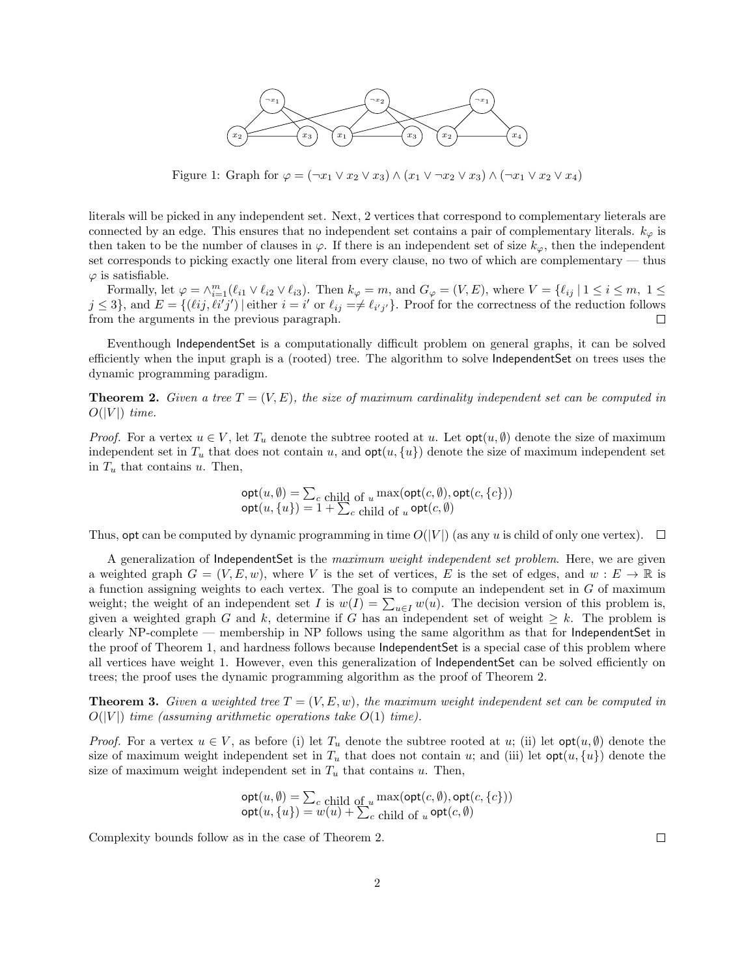

Figure 1: Graph for  $\varphi = (\neg x_1 \lor x_2 \lor x_3) \land (x_1 \lor \neg x_2 \lor x_3) \land (\neg x_1 \lor x_2 \lor x_4)$ 

literals will be picked in any independent set. Next, 2 vertices that correspond to complementary lieterals are connected by an edge. This ensures that no independent set contains a pair of complementary literals.  $k_{\varphi}$  is then taken to be the number of clauses in  $\varphi$ . If there is an independent set of size  $k_{\varphi}$ , then the independent set corresponds to picking exactly one literal from every clause, no two of which are complementary — thus  $\varphi$  is satisfiable.

Formally, let  $\varphi = \wedge_{i=1}^{m} (\ell_{i1} \vee \ell_{i2} \vee \ell_{i3})$ . Then  $k_{\varphi} = m$ , and  $G_{\varphi} = (V, E)$ , where  $V = \{\ell_{ij} | 1 \le i \le m, 1 \le j \le n\}$  $j \leq 3$ , and  $E = \{(\ell ij, \ell i'j') \mid \text{either } i = i' \text{ or } \ell_{ij} \neq \ell_{i'j'}\}.$  Proof for the correctness of the reduction follows from the arguments in the previous paragraph.  $\Box$ 

Eventhough IndependentSet is a computationally difficult problem on general graphs, it can be solved efficiently when the input graph is a (rooted) tree. The algorithm to solve IndependentSet on trees uses the dynamic programming paradigm.

**Theorem 2.** Given a tree  $T = (V, E)$ , the size of maximum cardinality independent set can be computed in  $O(|V|)$  time.

*Proof.* For a vertex  $u \in V$ , let  $T_u$  denote the subtree rooted at u. Let  $opt(u, \emptyset)$  denote the size of maximum independent set in  $T_u$  that does not contain u, and  $\text{opt}(u, \{u\})$  denote the size of maximum independent set in  $T_u$  that contains u. Then,

$$
\begin{array}{l}\n\text{opt}(u, \emptyset) = \sum_{c} \text{child of } u \max(\text{opt}(c, \emptyset), \text{opt}(c, \{c\})) \\
\text{opt}(u, \{u\}) = 1 + \sum_{c} \text{child of } u \text{ opt}(c, \emptyset)\n\end{array}
$$

Thus, opt can be computed by dynamic programming in time  $O(|V|)$  (as any u is child of only one vertex).  $\Box$ 

A generalization of IndependentSet is the maximum weight independent set problem. Here, we are given a weighted graph  $G = (V, E, w)$ , where V is the set of vertices, E is the set of edges, and  $w : E \to \mathbb{R}$  is a function assigning weights to each vertex. The goal is to compute an independent set in G of maximum weight; the weight of an independent set I is  $w(I) = \sum_{u \in I} w(u)$ . The decision version of this problem is, given a weighted graph G and k, determine if G has an independent set of weight  $\geq k$ . The problem is clearly NP-complete — membership in NP follows using the same algorithm as that for IndependentSet in the proof of Theorem 1, and hardness follows because IndependentSet is a special case of this problem where all vertices have weight 1. However, even this generalization of IndependentSet can be solved efficiently on trees; the proof uses the dynamic programming algorithm as the proof of Theorem 2.

**Theorem 3.** Given a weighted tree  $T = (V, E, w)$ , the maximum weight independent set can be computed in  $O(|V|)$  time (assuming arithmetic operations take  $O(1)$  time).

*Proof.* For a vertex  $u \in V$ , as before (i) let  $T_u$  denote the subtree rooted at u; (ii) let  $opt(u, \emptyset)$  denote the size of maximum weight independent set in  $T_u$  that does not contain u; and (iii) let  $\text{opt}(u, \{u\})$  denote the size of maximum weight independent set in  $T_u$  that contains u. Then,

$$
opt(u, \emptyset) = \sum_{c \text{ child of } u} \max(\mathsf{opt}(c, \emptyset), \mathsf{opt}(c, \{c\}))
$$
  

$$
opt(u, \{u\}) = w(u) + \sum_{c \text{ child of } u} \mathsf{opt}(c, \emptyset)
$$

Complexity bounds follow as in the case of Theorem 2.

 $\Box$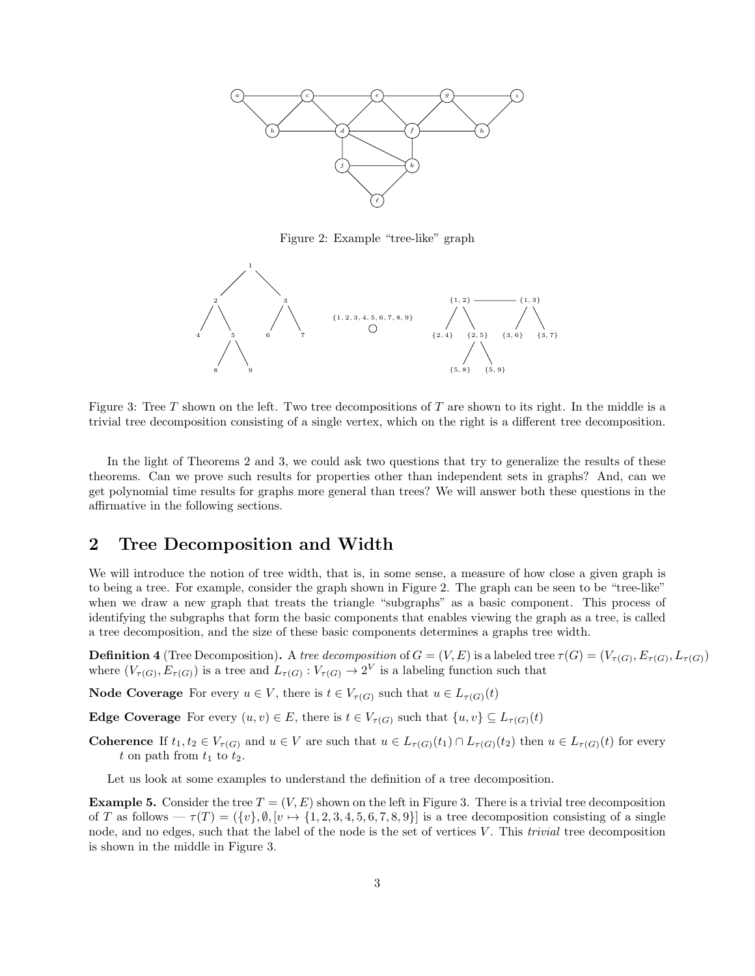

Figure 2: Example "tree-like" graph



Figure 3: Tree  $T$  shown on the left. Two tree decompositions of  $T$  are shown to its right. In the middle is a trivial tree decomposition consisting of a single vertex, which on the right is a different tree decomposition.

In the light of Theorems 2 and 3, we could ask two questions that try to generalize the results of these theorems. Can we prove such results for properties other than independent sets in graphs? And, can we get polynomial time results for graphs more general than trees? We will answer both these questions in the affirmative in the following sections.

### 2 Tree Decomposition and Width

We will introduce the notion of tree width, that is, in some sense, a measure of how close a given graph is to being a tree. For example, consider the graph shown in Figure 2. The graph can be seen to be "tree-like" when we draw a new graph that treats the triangle "subgraphs" as a basic component. This process of identifying the subgraphs that form the basic components that enables viewing the graph as a tree, is called a tree decomposition, and the size of these basic components determines a graphs tree width.

**Definition 4** (Tree Decomposition). A tree decomposition of  $G = (V, E)$  is a labeled tree  $\tau(G) = (V_{\tau(G)}, E_{\tau(G)}, L_{\tau(G)})$ where  $(V_{\tau(G)}, E_{\tau(G)})$  is a tree and  $L_{\tau(G)} : V_{\tau(G)} \to 2^V$  is a labeling function such that

**Node Coverage** For every  $u \in V$ , there is  $t \in V_{\tau(G)}$  such that  $u \in L_{\tau(G)}(t)$ 

**Edge Coverage** For every  $(u, v) \in E$ , there is  $t \in V_{\tau(G)}$  such that  $\{u, v\} \subseteq L_{\tau(G)}(t)$ 

Coherence If  $t_1, t_2 \in V_{\tau(G)}$  and  $u \in V$  are such that  $u \in L_{\tau(G)}(t_1) \cap L_{\tau(G)}(t_2)$  then  $u \in L_{\tau(G)}(t)$  for every t on path from  $t_1$  to  $t_2$ .

Let us look at some examples to understand the definition of a tree decomposition.

**Example 5.** Consider the tree  $T = (V, E)$  shown on the left in Figure 3. There is a trivial tree decomposition of T as follows —  $\tau(T) = (\{v\}, \emptyset, [v \mapsto \{1, 2, 3, 4, 5, 6, 7, 8, 9\}]$  is a tree decomposition consisting of a single node, and no edges, such that the label of the node is the set of vertices V. This *trivial* tree decomposition is shown in the middle in Figure 3.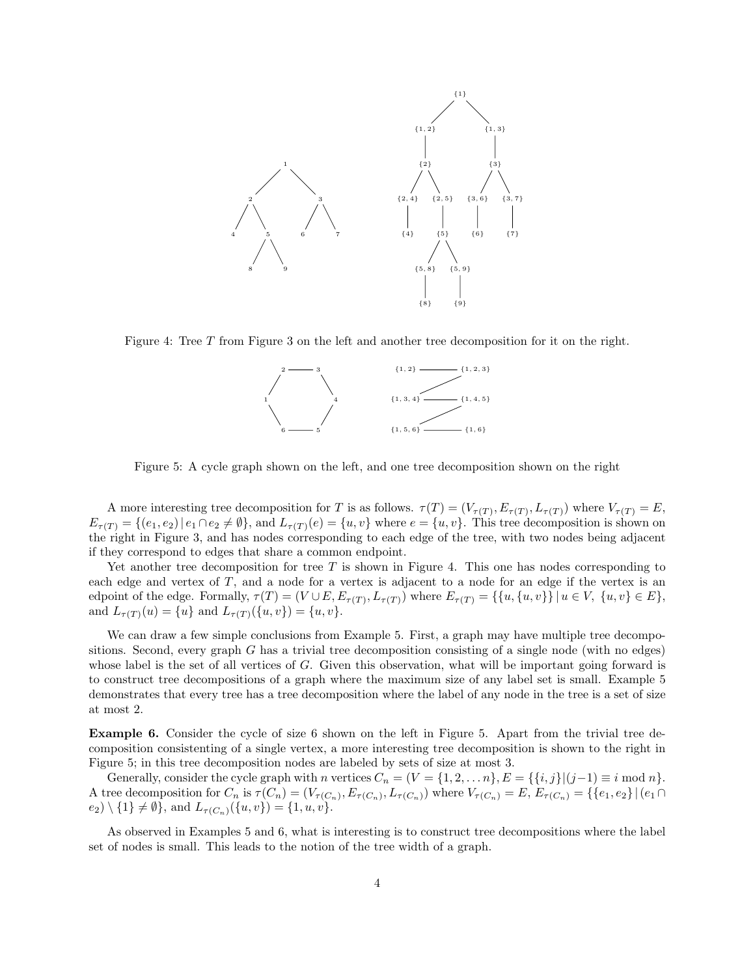

Figure 4: Tree T from Figure 3 on the left and another tree decomposition for it on the right.



Figure 5: A cycle graph shown on the left, and one tree decomposition shown on the right

A more interesting tree decomposition for T is as follows.  $\tau(T) = (V_{\tau(T)}, E_{\tau(T)}, L_{\tau(T)})$  where  $V_{\tau(T)} = E$ ,  $E_{\tau(T)} = \{(e_1, e_2) | e_1 \cap e_2 \neq \emptyset\}$ , and  $L_{\tau(T)}(e) = \{u, v\}$  where  $e = \{u, v\}$ . This tree decomposition is shown on the right in Figure 3, and has nodes corresponding to each edge of the tree, with two nodes being adjacent if they correspond to edges that share a common endpoint.

Yet another tree decomposition for tree  $T$  is shown in Figure 4. This one has nodes corresponding to each edge and vertex of  $T$ , and a node for a vertex is adjacent to a node for an edge if the vertex is an edpoint of the edge. Formally,  $\tau(T) = (V \cup E, E_{\tau(T)}, L_{\tau(T)})$  where  $E_{\tau(T)} = \{\{u, \{u, v\}\} \mid u \in V, \{u, v\} \in E\},\$ and  $L_{\tau(T)}(u) = \{u\}$  and  $L_{\tau(T)}(\{u, v\}) = \{u, v\}.$ 

We can draw a few simple conclusions from Example 5. First, a graph may have multiple tree decompositions. Second, every graph G has a trivial tree decomposition consisting of a single node (with no edges) whose label is the set of all vertices of G. Given this observation, what will be important going forward is to construct tree decompositions of a graph where the maximum size of any label set is small. Example 5 demonstrates that every tree has a tree decomposition where the label of any node in the tree is a set of size at most 2.

Example 6. Consider the cycle of size 6 shown on the left in Figure 5. Apart from the trivial tree decomposition consistenting of a single vertex, a more interesting tree decomposition is shown to the right in Figure 5; in this tree decomposition nodes are labeled by sets of size at most 3.

Generally, consider the cycle graph with n vertices  $C_n = (V = \{1, 2, ..., n\}, E = \{\{i, j\} | (j-1) \equiv i \mod n\}.$ A tree decomposition for  $C_n$  is  $\tau(C_n) = (V_{\tau(C_n)}, E_{\tau(C_n)}, L_{\tau(C_n)})$  where  $V_{\tau(C_n)} = E$ ,  $E_{\tau(C_n)} = {\mathcal{E}}_{\tau(C_n)} = {\mathcal{E}}_{\tau(C_n)}$  $(e_2) \setminus \{1\} \neq \emptyset$ , and  $L_{\tau(C_n)}(\{u, v\}) = \{1, u, v\}.$ 

As observed in Examples 5 and 6, what is interesting is to construct tree decompositions where the label set of nodes is small. This leads to the notion of the tree width of a graph.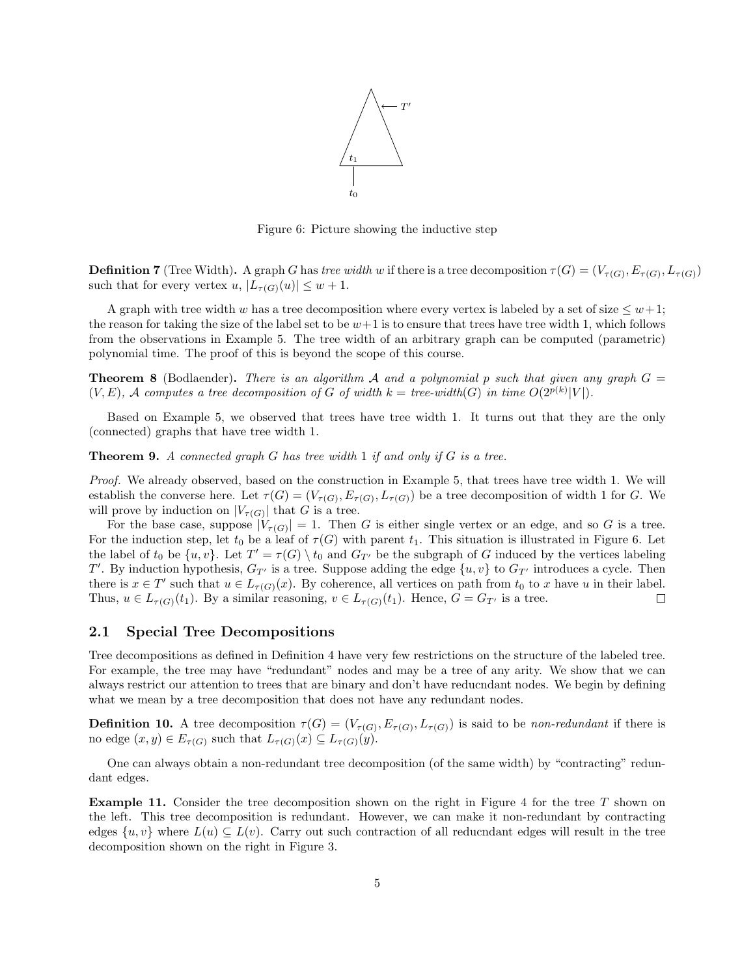

Figure 6: Picture showing the inductive step

**Definition 7** (Tree Width). A graph G has tree width w if there is a tree decomposition  $\tau(G) = (V_{\tau(G)}, E_{\tau(G)}, L_{\tau(G)})$ such that for every vertex  $u, |L_{\tau(G)}(u)| \leq w+1$ .

A graph with tree width w has a tree decomposition where every vertex is labeled by a set of size  $\leq w+1$ ; the reason for taking the size of the label set to be  $w+1$  is to ensure that trees have tree width 1, which follows from the observations in Example 5. The tree width of an arbitrary graph can be computed (parametric) polynomial time. The proof of this is beyond the scope of this course.

**Theorem 8** (Bodlaender). There is an algorithm A and a polynomial p such that given any graph  $G =$  $(V, E)$ , A computes a tree decomposition of G of width  $k = tree$ -width(G) in time  $O(2^{p(k)}|V|)$ .

Based on Example 5, we observed that trees have tree width 1. It turns out that they are the only (connected) graphs that have tree width 1.

**Theorem 9.** A connected graph G has tree width 1 if and only if G is a tree.

Proof. We already observed, based on the construction in Example 5, that trees have tree width 1. We will establish the converse here. Let  $\tau(G) = (V_{\tau(G)}, E_{\tau(G)}, L_{\tau(G)})$  be a tree decomposition of width 1 for G. We will prove by induction on  $|V_{\tau(G)}|$  that G is a tree.

For the base case, suppose  $|V_{\tau(G)}|=1$ . Then G is either single vertex or an edge, and so G is a tree. For the induction step, let  $t_0$  be a leaf of  $\tau(G)$  with parent  $t_1$ . This situation is illustrated in Figure 6. Let the label of  $t_0$  be  $\{u, v\}$ . Let  $T' = \tau(G) \setminus t_0$  and  $G_{T'}$  be the subgraph of G induced by the vertices labeling T'. By induction hypothesis,  $G_{T'}$  is a tree. Suppose adding the edge  $\{u, v\}$  to  $G_{T'}$  introduces a cycle. Then there is  $x \in T'$  such that  $u \in L_{\tau(G)}(x)$ . By coherence, all vertices on path from  $t_0$  to x have u in their label. Thus,  $u \in L_{\tau(G)}(t_1)$ . By a similar reasoning,  $v \in L_{\tau(G)}(t_1)$ . Hence,  $G = G_{T'}$  is a tree.  $\Box$ 

#### 2.1 Special Tree Decompositions

Tree decompositions as defined in Definition 4 have very few restrictions on the structure of the labeled tree. For example, the tree may have "redundant" nodes and may be a tree of any arity. We show that we can always restrict our attention to trees that are binary and don't have reducndant nodes. We begin by defining what we mean by a tree decomposition that does not have any redundant nodes.

**Definition 10.** A tree decomposition  $\tau(G) = (V_{\tau(G)}, E_{\tau(G)}, L_{\tau(G)})$  is said to be non-redundant if there is no edge  $(x, y) \in E_{\tau(G)}$  such that  $L_{\tau(G)}(x) \subseteq L_{\tau(G)}(y)$ .

One can always obtain a non-redundant tree decomposition (of the same width) by "contracting" redundant edges.

**Example 11.** Consider the tree decomposition shown on the right in Figure 4 for the tree  $T$  shown on the left. This tree decomposition is redundant. However, we can make it non-redundant by contracting edges  $\{u, v\}$  where  $L(u) \subseteq L(v)$ . Carry out such contraction of all reducndant edges will result in the tree decomposition shown on the right in Figure 3.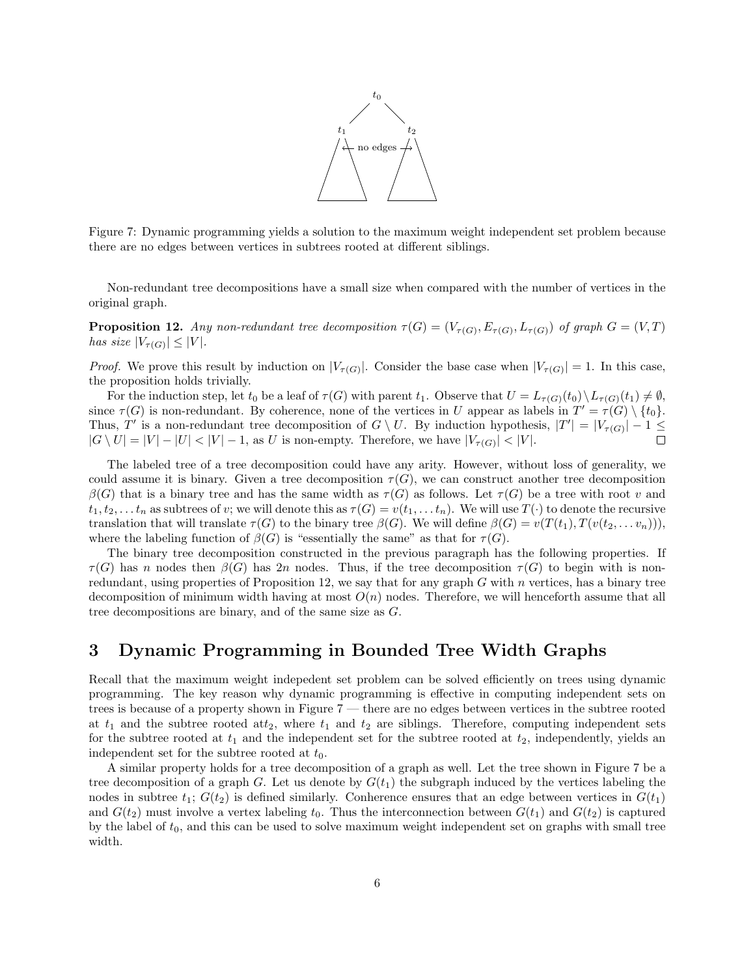

Figure 7: Dynamic programming yields a solution to the maximum weight independent set problem because there are no edges between vertices in subtrees rooted at different siblings.

Non-redundant tree decompositions have a small size when compared with the number of vertices in the original graph.

**Proposition 12.** Any non-redundant tree decomposition  $\tau(G) = (V_{\tau(G)}, E_{\tau(G)}, L_{\tau(G)})$  of graph  $G = (V, T)$ has size  $|V_{\tau(G)}| \leq |V|$ .

*Proof.* We prove this result by induction on  $|V_{\tau(G)}|$ . Consider the base case when  $|V_{\tau(G)}| = 1$ . In this case, the proposition holds trivially.

For the induction step, let  $t_0$  be a leaf of  $\tau(G)$  with parent  $t_1$ . Observe that  $U = L_{\tau(G)}(t_0) \setminus L_{\tau(G)}(t_1) \neq \emptyset$ , since  $\tau(G)$  is non-redundant. By coherence, none of the vertices in U appear as labels in  $T' = \tau(G) \setminus \{t_0\}.$ Thus, T' is a non-redundant tree decomposition of  $G \setminus U$ . By induction hypothesis,  $|T'| = |V_{\tau(G)}| - 1 \leq$  $|G \setminus U| = |V| - |U| < |V| - 1$ , as U is non-empty. Therefore, we have  $|V_{\tau(G)}| < |V|$ .

The labeled tree of a tree decomposition could have any arity. However, without loss of generality, we could assume it is binary. Given a tree decomposition  $\tau(G)$ , we can construct another tree decomposition  $\beta(G)$  that is a binary tree and has the same width as  $\tau(G)$  as follows. Let  $\tau(G)$  be a tree with root v and  $t_1, t_2, \ldots, t_n$  as subtrees of v; we will denote this as  $\tau(G) = v(t_1, \ldots, t_n)$ . We will use  $T(\cdot)$  to denote the recursive translation that will translate  $\tau(G)$  to the binary tree  $\beta(G)$ . We will define  $\beta(G) = v(T(t_1), T(v(t_2, \ldots v_n)))$ , where the labeling function of  $\beta(G)$  is "essentially the same" as that for  $\tau(G)$ .

The binary tree decomposition constructed in the previous paragraph has the following properties. If  $\tau(G)$  has n nodes then  $\beta(G)$  has 2n nodes. Thus, if the tree decomposition  $\tau(G)$  to begin with is nonredundant, using properties of Proposition 12, we say that for any graph  $G$  with  $n$  vertices, has a binary tree decomposition of minimum width having at most  $O(n)$  nodes. Therefore, we will henceforth assume that all tree decompositions are binary, and of the same size as G.

## 3 Dynamic Programming in Bounded Tree Width Graphs

Recall that the maximum weight indepedent set problem can be solved efficiently on trees using dynamic programming. The key reason why dynamic programming is effective in computing independent sets on trees is because of a property shown in Figure 7 — there are no edges between vertices in the subtree rooted at  $t_1$  and the subtree rooted at  $t_2$ , where  $t_1$  and  $t_2$  are siblings. Therefore, computing independent sets for the subtree rooted at  $t_1$  and the independent set for the subtree rooted at  $t_2$ , independently, yields an independent set for the subtree rooted at  $t_0$ .

A similar property holds for a tree decomposition of a graph as well. Let the tree shown in Figure 7 be a tree decomposition of a graph G. Let us denote by  $G(t_1)$  the subgraph induced by the vertices labeling the nodes in subtree  $t_1$ ;  $G(t_2)$  is defined similarly. Conherence ensures that an edge between vertices in  $G(t_1)$ and  $G(t_2)$  must involve a vertex labeling  $t_0$ . Thus the interconnection between  $G(t_1)$  and  $G(t_2)$  is captured by the label of  $t_0$ , and this can be used to solve maximum weight independent set on graphs with small tree width.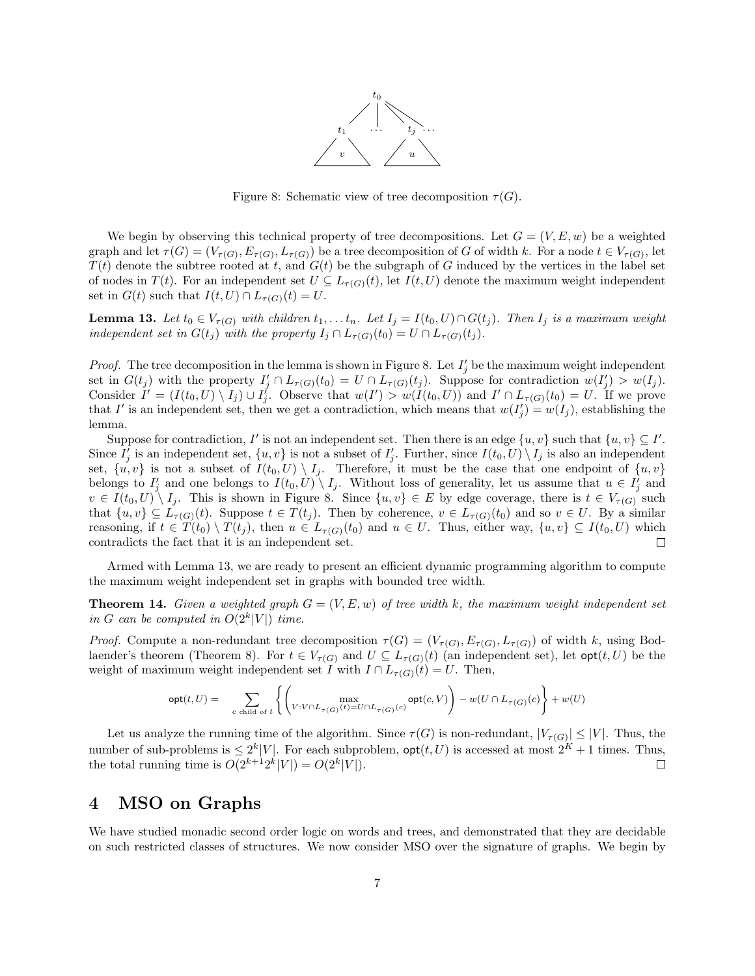

Figure 8: Schematic view of tree decomposition  $\tau(G)$ .

We begin by observing this technical property of tree decompositions. Let  $G = (V, E, w)$  be a weighted graph and let  $\tau(G) = (V_{\tau(G)}, E_{\tau(G)}, L_{\tau(G)})$  be a tree decomposition of G of width k. For a node  $t \in V_{\tau(G)}$ , let  $T(t)$  denote the subtree rooted at t, and  $G(t)$  be the subgraph of G induced by the vertices in the label set of nodes in  $T(t)$ . For an independent set  $U \subseteq L_{\tau(G)}(t)$ , let  $I(t, U)$  denote the maximum weight independent set in  $G(t)$  such that  $I(t, U) \cap L_{\tau(G)}(t) = U$ .

**Lemma 13.** Let  $t_0 \in V_{\tau(G)}$  with children  $t_1, \ldots t_n$ . Let  $I_j = I(t_0, U) \cap G(t_j)$ . Then  $I_j$  is a maximum weight independent set in  $G(t_i)$  with the property  $I_i \cap L_{\tau(G)}(t_0) = U \cap L_{\tau(G)}(t_i)$ .

*Proof.* The tree decomposition in the lemma is shown in Figure 8. Let  $I'_j$  be the maximum weight independent set in  $G(t_j)$  with the property  $I'_j \cap L_{\tau(G)}(t_0) = U \cap L_{\tau(G)}(t_j)$ . Suppose for contradiction  $w(I'_j) > w(I_j)$ . Consider  $I' = (I(t_0, U) \setminus I_j) \cup I_j'$ . Observe that  $w(I') > w(I(t_0, U))$  and  $I' \cap L_{\tau(G)}(t_0) = U$ . If we prove that I' is an independent set, then we get a contradiction, which means that  $w(I'_j) = w(I_j)$ , establishing the lemma.

Suppose for contradiction, I' is not an independent set. Then there is an edge  $\{u, v\}$  such that  $\{u, v\} \subseteq I'$ . Since  $I'_j$  is an independent set,  $\{u, v\}$  is not a subset of  $I'_j$ . Further, since  $I(t_0, U) \setminus I_j$  is also an independent set,  $\{u, v\}$  is not a subset of  $I(t_0, U) \setminus I_j$ . Therefore, it must be the case that one endpoint of  $\{u, v\}$ belongs to  $I'_j$  and one belongs to  $I(t_0,U) \setminus I_j$ . Without loss of generality, let us assume that  $u \in I'_j$  and  $v \in I(t_0, U) \setminus I_j$ . This is shown in Figure 8. Since  $\{u, v\} \in E$  by edge coverage, there is  $t \in V_{\tau(G)}$  such that  $\{u, v\} \subseteq L_{\tau(G)}(t)$ . Suppose  $t \in T(t_j)$ . Then by coherence,  $v \in L_{\tau(G)}(t_0)$  and so  $v \in U$ . By a similar reasoning, if  $t \in T(t_0) \setminus T(t_i)$ , then  $u \in L_{\tau(G)}(t_0)$  and  $u \in U$ . Thus, either way,  $\{u, v\} \subseteq I(t_0, U)$  which contradicts the fact that it is an independent set.  $\Box$ 

Armed with Lemma 13, we are ready to present an efficient dynamic programming algorithm to compute the maximum weight independent set in graphs with bounded tree width.

**Theorem 14.** Given a weighted graph  $G = (V, E, w)$  of tree width k, the maximum weight independent set in G can be computed in  $O(2^k|V|)$  time.

*Proof.* Compute a non-redundant tree decomposition  $\tau(G) = (V_{\tau(G)}, E_{\tau(G)}, L_{\tau(G)})$  of width k, using Bodlaender's theorem (Theorem 8). For  $t \in V_{\tau(G)}$  and  $U \subseteq L_{\tau(G)}(t)$  (an independent set), let  $opt(t, U)$  be the weight of maximum weight independent set I with  $I \cap L_{\tau(G)}(t) = U$ . Then,

$$
\mathsf{opt}(t, U) = \sum_{c \text{ child of } t} \left\{ \left( \max_{V: V \cap L_{\tau(G)}(t) = U \cap L_{\tau(G)}(c)} \mathsf{opt}(c, V) \right) - w(U \cap L_{\tau(G)}(c) \right\} + w(U)
$$

Let us analyze the running time of the algorithm. Since  $\tau(G)$  is non-redundant,  $|V_{\tau(G)}| \leq |V|$ . Thus, the number of sub-problems is  $\leq 2^k|V|$ . For each subproblem,  $\mathsf{opt}(t, U)$  is accessed at most  $2^K + 1$  times. Thus, the total running time is  $O(2^{k+1}2^k|V|) = O(2^k|V|)$ .

### 4 MSO on Graphs

We have studied monadic second order logic on words and trees, and demonstrated that they are decidable on such restricted classes of structures. We now consider MSO over the signature of graphs. We begin by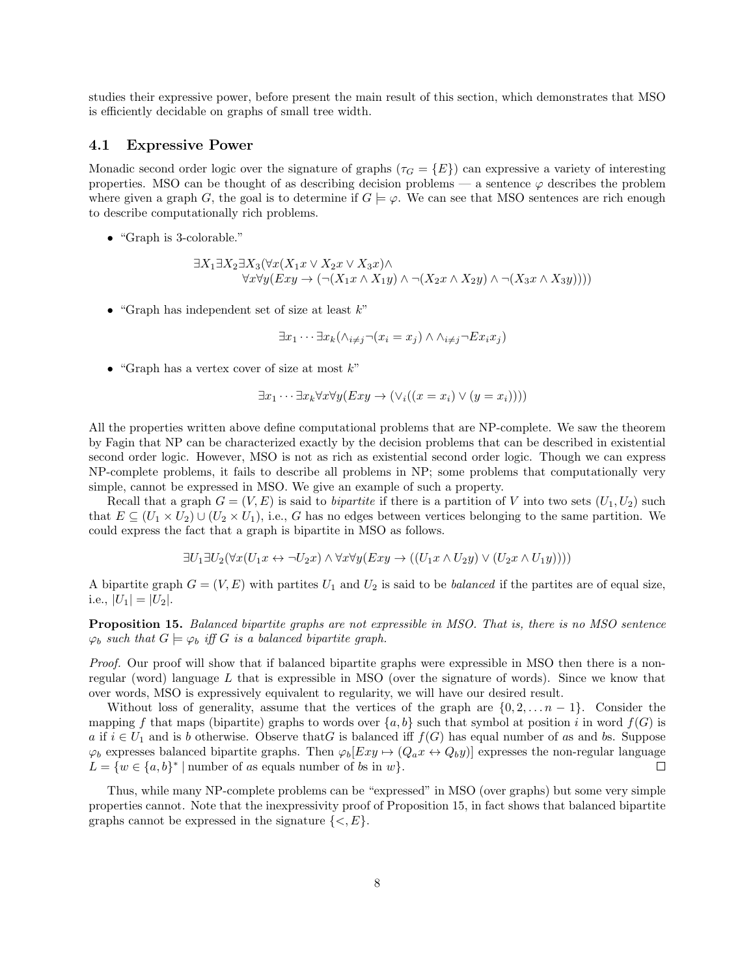studies their expressive power, before present the main result of this section, which demonstrates that MSO is efficiently decidable on graphs of small tree width.

### 4.1 Expressive Power

Monadic second order logic over the signature of graphs ( $\tau_G = \{E\}$ ) can expressive a variety of interesting properties. MSO can be thought of as describing decision problems — a sentence  $\varphi$  describes the problem where given a graph G, the goal is to determine if  $G \models \varphi$ . We can see that MSO sentences are rich enough to describe computationally rich problems.

• "Graph is 3-colorable."

$$
\exists X_1 \exists X_2 \exists X_3 (\forall x (X_1 x \lor X_2 x \lor X_3 x) \land \forall x \forall y (Exy \to (\neg (X_1 x \land X_1 y) \land \neg (X_2 x \land X_2 y) \land \neg (X_3 x \land X_3 y))))
$$

• "Graph has independent set of size at least  $k$ "

$$
\exists x_1 \cdots \exists x_k (\land_{i \neq j} \neg (x_i = x_j) \land \land_{i \neq j} \neg Ex_i x_j)
$$

• "Graph has a vertex cover of size at most  $k$ "

$$
\exists x_1 \cdots \exists x_k \forall x \forall y (Exy \rightarrow (\forall_i ((x = x_i) \vee (y = x_i))))
$$

All the properties written above define computational problems that are NP-complete. We saw the theorem by Fagin that NP can be characterized exactly by the decision problems that can be described in existential second order logic. However, MSO is not as rich as existential second order logic. Though we can express NP-complete problems, it fails to describe all problems in NP; some problems that computationally very simple, cannot be expressed in MSO. We give an example of such a property.

Recall that a graph  $G = (V, E)$  is said to *bipartite* if there is a partition of V into two sets  $(U_1, U_2)$  such that  $E \subseteq (U_1 \times U_2) \cup (U_2 \times U_1)$ , i.e., G has no edges between vertices belonging to the same partition. We could express the fact that a graph is bipartite in MSO as follows.

$$
\exists U_1 \exists U_2 (\forall x (U_1 x \leftrightarrow \neg U_2 x) \land \forall x \forall y (Exy \to ((U_1 x \land U_2 y) \lor (U_2 x \land U_1 y))))
$$

A bipartite graph  $G = (V, E)$  with partites  $U_1$  and  $U_2$  is said to be balanced if the partites are of equal size, i.e.,  $|U_1| = |U_2|$ .

Proposition 15. Balanced bipartite graphs are not expressible in MSO. That is, there is no MSO sentence  $\varphi_b$  such that  $G \models \varphi_b$  iff G is a balanced bipartite graph.

Proof. Our proof will show that if balanced bipartite graphs were expressible in MSO then there is a nonregular (word) language  $L$  that is expressible in MSO (over the signature of words). Since we know that over words, MSO is expressively equivalent to regularity, we will have our desired result.

Without loss of generality, assume that the vertices of the graph are  $\{0, 2, \ldots n-1\}$ . Consider the mapping f that maps (bipartite) graphs to words over  $\{a, b\}$  such that symbol at position i in word  $f(G)$  is a if  $i \in U_1$  and is b otherwise. Observe that G is balanced iff  $f(G)$  has equal number of as and bs. Suppose  $\varphi_b$  expresses balanced bipartite graphs. Then  $\varphi_b[Exy \to (Q_a x \leftrightarrow Q_b y)]$  expresses the non-regular language  $L = \{w \in \{a, b\}^* \mid \text{number of as equals number of } b \text{s in } w\}.$  $\Box$ 

Thus, while many NP-complete problems can be "expressed" in MSO (over graphs) but some very simple properties cannot. Note that the inexpressivity proof of Proposition 15, in fact shows that balanced bipartite graphs cannot be expressed in the signature  $\{<, E\}.$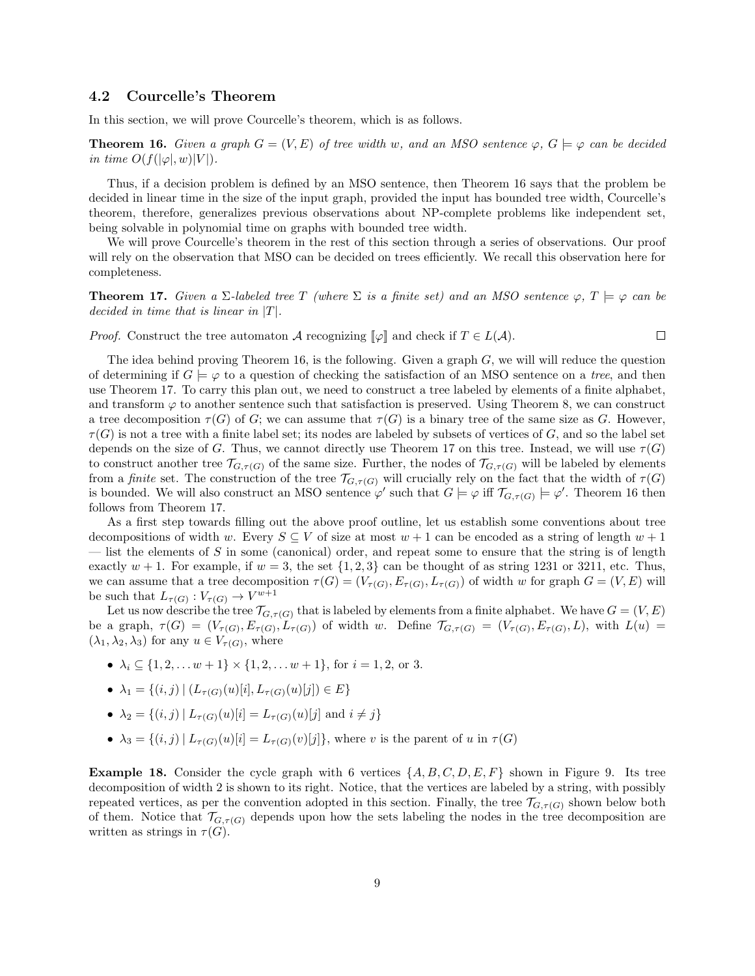#### 4.2 Courcelle's Theorem

In this section, we will prove Courcelle's theorem, which is as follows.

**Theorem 16.** Given a graph  $G = (V, E)$  of tree width w, and an MSO sentence  $\varphi$ ,  $G \models \varphi$  can be decided in time  $O(f(|\varphi|, w)|V|)$ .

Thus, if a decision problem is defined by an MSO sentence, then Theorem 16 says that the problem be decided in linear time in the size of the input graph, provided the input has bounded tree width, Courcelle's theorem, therefore, generalizes previous observations about NP-complete problems like independent set, being solvable in polynomial time on graphs with bounded tree width.

We will prove Courcelle's theorem in the rest of this section through a series of observations. Our proof will rely on the observation that MSO can be decided on trees efficiently. We recall this observation here for completeness.

**Theorem 17.** Given a  $\Sigma$ -labeled tree T (where  $\Sigma$  is a finite set) and an MSO sentence  $\varphi$ ,  $T \models \varphi$  can be decided in time that is linear in  $|T|$ .

*Proof.* Construct the tree automaton A recognizing  $\llbracket \varphi \rrbracket$  and check if  $T \in L(\mathcal{A})$ .  $\Box$ 

The idea behind proving Theorem 16, is the following. Given a graph  $G$ , we will will reduce the question of determining if  $G \models \varphi$  to a question of checking the satisfaction of an MSO sentence on a tree, and then use Theorem 17. To carry this plan out, we need to construct a tree labeled by elements of a finite alphabet, and transform  $\varphi$  to another sentence such that satisfaction is preserved. Using Theorem 8, we can construct a tree decomposition  $\tau(G)$  of G; we can assume that  $\tau(G)$  is a binary tree of the same size as G. However,  $\tau(G)$  is not a tree with a finite label set; its nodes are labeled by subsets of vertices of G, and so the label set depends on the size of G. Thus, we cannot directly use Theorem 17 on this tree. Instead, we will use  $\tau(G)$ to construct another tree  $\mathcal{T}_{G,\tau(G)}$  of the same size. Further, the nodes of  $\mathcal{T}_{G,\tau(G)}$  will be labeled by elements from a finite set. The construction of the tree  $\mathcal{T}_{G,\tau(G)}$  will crucially rely on the fact that the width of  $\tau(G)$ is bounded. We will also construct an MSO sentence  $\varphi'$  such that  $G \models \varphi$  iff  $\mathcal{T}_{G,\tau(G)} \models \varphi'$ . Theorem 16 then follows from Theorem 17.

As a first step towards filling out the above proof outline, let us establish some conventions about tree decompositions of width w. Every  $S \subseteq V$  of size at most  $w + 1$  can be encoded as a string of length  $w + 1$ — list the elements of S in some (canonical) order, and repeat some to ensure that the string is of length exactly  $w + 1$ . For example, if  $w = 3$ , the set  $\{1, 2, 3\}$  can be thought of as string 1231 or 3211, etc. Thus, we can assume that a tree decomposition  $\tau(G) = (V_{\tau(G)}, E_{\tau(G)}, L_{\tau(G)})$  of width w for graph  $G = (V, E)$  will be such that  $L_{\tau(G)} : V_{\tau(G)} \to V^{w+1}$ 

Let us now describe the tree  $\mathcal{T}_{G,\tau(G)}$  that is labeled by elements from a finite alphabet. We have  $G = (V, E)$ be a graph,  $\tau(G) = (V_{\tau(G)}, E_{\tau(G)}, L_{\tau(G)})$  of width w. Define  $\mathcal{T}_{G,\tau(G)} = (V_{\tau(G)}, E_{\tau(G)}, L)$ , with  $L(u) =$  $(\lambda_1, \lambda_2, \lambda_3)$  for any  $u \in V_{\tau(G)}$ , where

- $\lambda_i \subseteq \{1, 2, \ldots w + 1\} \times \{1, 2, \ldots w + 1\}$ , for  $i = 1, 2$ , or 3.
- $\lambda_1 = \{(i, j) | (L_{\tau(G)}(u)[i], L_{\tau(G)}(u)[j]) \in E\}$
- $\lambda_2 = \{(i, j) | L_{\tau(G)}(u)[i] = L_{\tau(G)}(u)[j]$  and  $i \neq j\}$
- $\lambda_3 = \{(i, j) | L_{\tau(G)}(u)[i] = L_{\tau(G)}(v)[j]\},\$  where v is the parent of u in  $\tau(G)$

**Example 18.** Consider the cycle graph with 6 vertices  $\{A, B, C, D, E, F\}$  shown in Figure 9. Its tree decomposition of width 2 is shown to its right. Notice, that the vertices are labeled by a string, with possibly repeated vertices, as per the convention adopted in this section. Finally, the tree  $\mathcal{T}_{G,\tau(G)}$  shown below both of them. Notice that  $\mathcal{T}_{G,\tau(G)}$  depends upon how the sets labeling the nodes in the tree decomposition are written as strings in  $\tau(G)$ .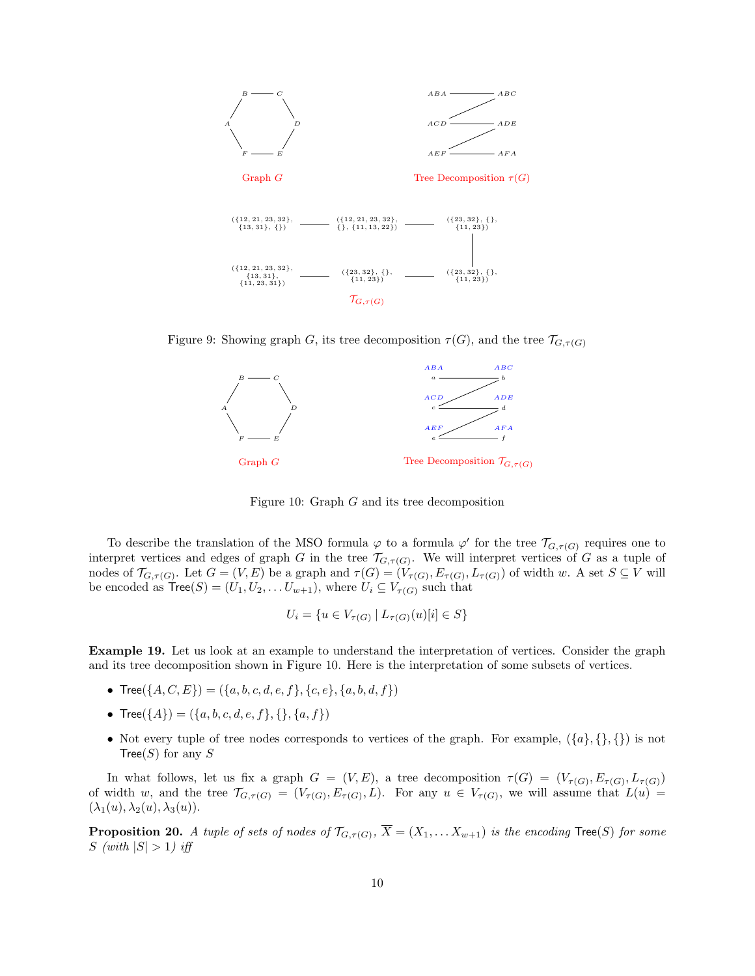

Figure 9: Showing graph G, its tree decomposition  $\tau(G)$ , and the tree  $\mathcal{T}_{G,\tau(G)}$ 



Figure 10: Graph G and its tree decomposition

To describe the translation of the MSO formula  $\varphi$  to a formula  $\varphi'$  for the tree  $\mathcal{T}_{G,\tau(G)}$  requires one to interpret vertices and edges of graph G in the tree  $\mathcal{T}_{G,\tau(G)}$ . We will interpret vertices of G as a tuple of nodes of  $\mathcal{T}_{G,\tau(G)}$ . Let  $G = (V,E)$  be a graph and  $\tau(G) = (V_{\tau(G)}, E_{\tau(G)}, L_{\tau(G)})$  of width w. A set  $S \subseteq V$  will be encoded as  $Tree(S) = (U_1, U_2, \ldots U_{w+1}),$  where  $U_i \subseteq V_{\tau(G)}$  such that

$$
U_i = \{ u \in V_{\tau(G)} \mid L_{\tau(G)}(u)[i] \in S \}
$$

Example 19. Let us look at an example to understand the interpretation of vertices. Consider the graph and its tree decomposition shown in Figure 10. Here is the interpretation of some subsets of vertices.

- Tree $({A, C, E}) = ({a, b, c, d, e, f}, {c, e}, {a, b, d, f})$
- Tree( $\{A\}$ ) = ( $\{a, b, c, d, e, f\}$ ,  $\{\}, \{a, f\}$ )
- Not every tuple of tree nodes corresponds to vertices of the graph. For example,  $({a}, {}, {\}$ Tree(S) for any S

In what follows, let us fix a graph  $G = (V, E)$ , a tree decomposition  $\tau(G) = (V_{\tau(G)}, E_{\tau(G)}, L_{\tau(G)})$ of width w, and the tree  $\mathcal{T}_{G,\tau(G)} = (V_{\tau(G)}, E_{\tau(G)}, L)$ . For any  $u \in V_{\tau(G)}$ , we will assume that  $L(u)$  $(\lambda_1(u), \lambda_2(u), \lambda_3(u)).$ 

**Proposition 20.** A tuple of sets of nodes of  $\mathcal{T}_{G,\tau(G)}$ ,  $X = (X_1, \ldots X_{w+1})$  is the encoding  $\text{Tree}(S)$  for some S (with  $|S| > 1$ ) iff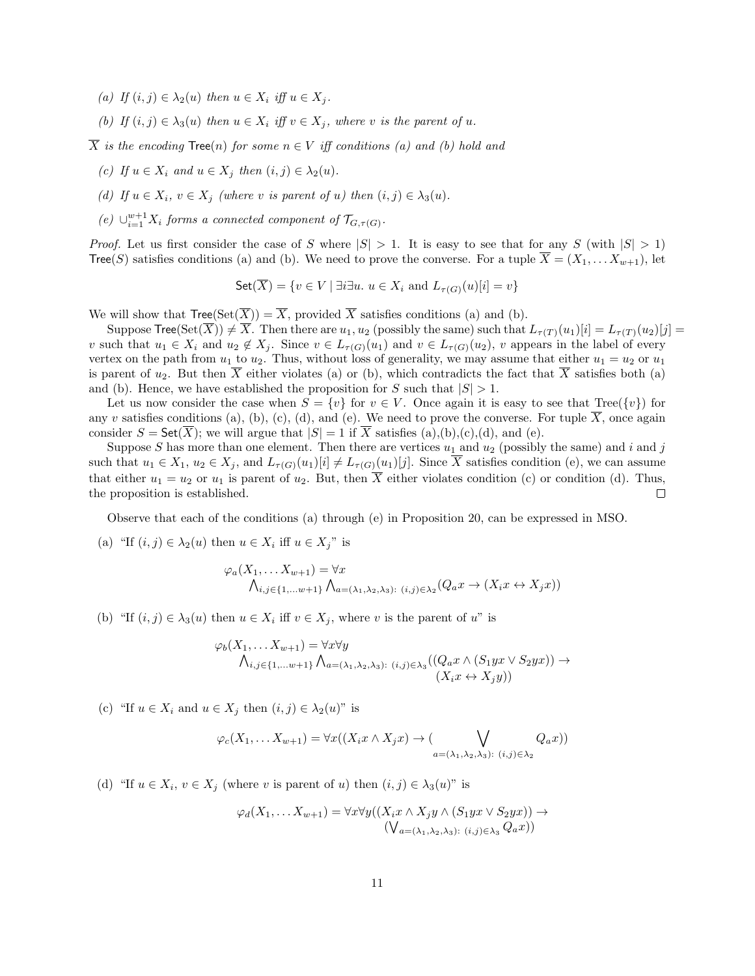- (a) If  $(i, j) \in \lambda_2(u)$  then  $u \in X_i$  iff  $u \in X_i$ .
- (b) If  $(i, j) \in \lambda_3(u)$  then  $u \in X_i$  iff  $v \in X_j$ , where v is the parent of u.

 $\overline{X}$  is the encoding Tree(n) for some  $n \in V$  iff conditions (a) and (b) hold and

- (c) If  $u \in X_i$  and  $u \in X_j$  then  $(i, j) \in \lambda_2(u)$ .
- (d) If  $u \in X_i$ ,  $v \in X_j$  (where v is parent of u) then  $(i, j) \in \lambda_3(u)$ .
- (e)  $\cup_{i=1}^{w+1} X_i$  forms a connected component of  $\mathcal{T}_{G,\tau(G)}$ .

*Proof.* Let us first consider the case of S where  $|S| > 1$ . It is easy to see that for any S (with  $|S| > 1$ ) Tree(S) satisfies conditions (a) and (b). We need to prove the converse. For a tuple  $\overline{X} = (X_1, \ldots, X_{w+1})$ , let

Set(
$$
\overline{X}
$$
) = { $v \in V$  |  $\exists i \exists u$ .  $u \in X_i$  and  $L_{\tau(G)}(u)[i] = v$ }

We will show that  $Tree(Set(\overline{X})) = \overline{X}$ , provided  $\overline{X}$  satisfies conditions (a) and (b).

Suppose  $\text{Tree}(\text{Set}(\overline{X})) \neq \overline{X}$ . Then there are  $u_1, u_2$  (possibly the same) such that  $L_{\tau(T)}(u_1)[i] = L_{\tau(T)}(u_2)[j] =$ v such that  $u_1 \in X_i$  and  $u_2 \notin X_j$ . Since  $v \in L_{\tau(G)}(u_1)$  and  $v \in L_{\tau(G)}(u_2)$ , v appears in the label of every vertex on the path from  $u_1$  to  $u_2$ . Thus, without loss of generality, we may assume that either  $u_1 = u_2$  or  $u_1$ is parent of  $u_2$ . But then X either violates (a) or (b), which contradicts the fact that X satisfies both (a) and (b). Hence, we have established the proposition for S such that  $|S| > 1$ .

Let us now consider the case when  $S = \{v\}$  for  $v \in V$ . Once again it is easy to see that Tree( $\{v\}$ ) for any v satisfies conditions (a), (b), (c), (d), and (e). We need to prove the converse. For tuple  $\overline{X}$ , once again consider  $S = \mathsf{Set}(\overline{X})$ ; we will argue that  $|S| = 1$  if  $\overline{X}$  satisfies (a),(b),(c),(d), and (e).

Suppose S has more than one element. Then there are vertices  $u_1$  and  $u_2$  (possibly the same) and i and j such that  $u_1 \in X_1$ ,  $u_2 \in X_j$ , and  $L_{\tau(G)}(u_1)[i] \neq L_{\tau(G)}(u_1)[j]$ . Since  $\overline{X}$  satisfies condition (e), we can assume that either  $u_1 = u_2$  or  $u_1$  is parent of  $u_2$ . But, then  $\overline{X}$  either violates condition (c) or condition (d). Thus, the proposition is established.  $\Box$ 

Observe that each of the conditions (a) through (e) in Proposition 20, can be expressed in MSO.

(a) "If  $(i, j) \in \lambda_2(u)$  then  $u \in X_i$  iff  $u \in X_j$ " is

$$
\varphi_a(X_1, \dots, X_{w+1}) = \forall x
$$
  

$$
\bigwedge_{i,j \in \{1, \dots w+1\}} \bigwedge_{a = (\lambda_1, \lambda_2, \lambda_3) : (i,j) \in \lambda_2} (Q_a x \to (X_i x \leftrightarrow X_j x))
$$

(b) "If  $(i, j) \in \lambda_3(u)$  then  $u \in X_i$  iff  $v \in X_j$ , where v is the parent of u" is

$$
\varphi_b(X_1, \dots, X_{w+1}) = \forall x \forall y
$$
  

$$
\bigwedge_{i,j \in \{1, \dots w+1\}} \bigwedge_{a=(\lambda_1, \lambda_2, \lambda_3): (i,j) \in \lambda_3} ((Q_a x \land (S_1 y x \lor S_2 y x)) \rightarrow (X_i x \leftrightarrow X_j y))
$$

(c) "If  $u \in X_i$  and  $u \in X_j$  then  $(i, j) \in \lambda_2(u)$ " is

$$
\varphi_c(X_1, \dots, X_{w+1}) = \forall x ((X_i x \land X_j x) \to (\bigvee_{a = (\lambda_1, \lambda_2, \lambda_3) : (i,j) \in \lambda_2} Q_a x))
$$

(d) "If  $u \in X_i$ ,  $v \in X_j$  (where v is parent of u) then  $(i, j) \in \lambda_3(u)$ " is

$$
\varphi_d(X_1, \dots, X_{w+1}) = \forall x \forall y ((X_ix \land X_jy \land (S_1yx \lor S_2yx)) \rightarrow (\bigvee_{a=(\lambda_1, \lambda_2, \lambda_3): (i,j) \in \lambda_3} Q_a x))
$$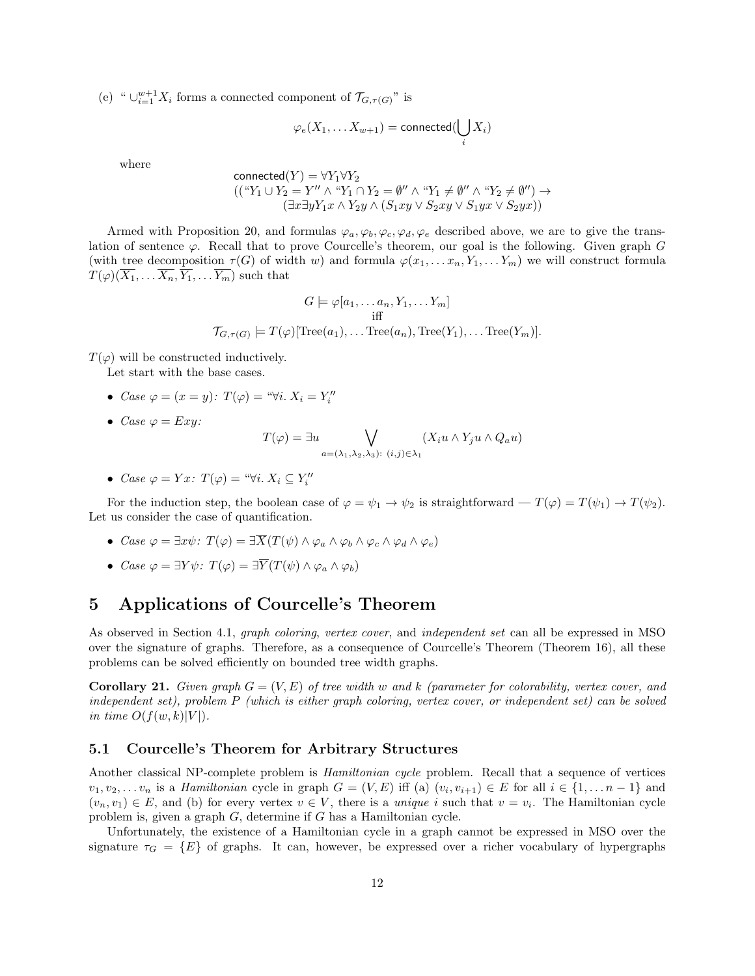(e) "  $\cup_{i=1}^{w+1} X_i$  forms a connected component of  $\mathcal{T}_{G,\tau(G)}$ " is

$$
\varphi_e(X_1,\ldots X_{w+1}) = \text{connected}(\bigcup_i X_i)
$$

where

$$
\text{connected}(Y) = \forall Y_1 \forall Y_2
$$
\n
$$
((\text{``}Y_1 \cup Y_2 = Y'' \land \text{``}Y_1 \cap Y_2 = \emptyset'' \land \text{``}Y_1 \neq \emptyset'' \land \text{``}Y_2 \neq \emptyset'') \rightarrow
$$
\n
$$
(\exists x \exists y Y_1 x \land Y_2 y \land (S_1 xy \lor S_2 xy \lor S_1 yx \lor S_2 yx))
$$

Armed with Proposition 20, and formulas  $\varphi_a, \varphi_b, \varphi_c, \varphi_d, \varphi_e$  described above, we are to give the translation of sentence  $\varphi$ . Recall that to prove Courcelle's theorem, our goal is the following. Given graph G (with tree decomposition  $\tau(G)$  of width w) and formula  $\varphi(x_1, \ldots, x_n, Y_1, \ldots, Y_m)$  we will construct formula  $T(\varphi)(\overline{X_1}, \ldots \overline{X_n}, \overline{Y_1}, \ldots \overline{Y_m})$  such that

$$
G \models \varphi[a_1, \dots a_n, Y_1, \dots Y_m]
$$
  
iff  

$$
\mathcal{T}_{G,\tau(G)} \models T(\varphi)[\text{Tree}(a_1), \dots \text{Tree}(a_n), \text{Tree}(Y_1), \dots \text{Tree}(Y_m)].
$$

 $T(\varphi)$  will be constructed inductively.

Let start with the base cases.

- Case  $\varphi = (x = y)$ :  $T(\varphi) = \sqrt[a]{i}$ .  $X_i = Y''_i$
- Case  $\varphi = Exy$ :

$$
T(\varphi) = \exists u \bigvee_{a = (\lambda_1, \lambda_2, \lambda_3): (i,j) \in \lambda_1} (X_i u \wedge Y_j u \wedge Q_a u)
$$

• Case  $\varphi = Yx$ :  $T(\varphi) = \sqrt{\forall i}$ .  $X_i \subseteq Y''_i$ 

For the induction step, the boolean case of  $\varphi = \psi_1 \to \psi_2$  is straightforward  $-T(\varphi) = T(\psi_1) \to T(\psi_2)$ . Let us consider the case of quantification.

- Case  $\varphi = \exists x \psi$ :  $T(\varphi) = \exists \overline{X}(T(\psi) \wedge \varphi_a \wedge \varphi_b \wedge \varphi_c \wedge \varphi_d \wedge \varphi_e)$
- Case  $\varphi = \exists Y \psi$ :  $T(\varphi) = \exists \overline{Y}(T(\psi) \wedge \varphi_a \wedge \varphi_b)$

# 5 Applications of Courcelle's Theorem

As observed in Section 4.1, graph coloring, vertex cover, and independent set can all be expressed in MSO over the signature of graphs. Therefore, as a consequence of Courcelle's Theorem (Theorem 16), all these problems can be solved efficiently on bounded tree width graphs.

**Corollary 21.** Given graph  $G = (V, E)$  of tree width w and k (parameter for colorability, vertex cover, and independent set), problem P (which is either graph coloring, vertex cover, or independent set) can be solved in time  $O(f(w, k)|V|)$ .

### 5.1 Courcelle's Theorem for Arbitrary Structures

Another classical NP-complete problem is Hamiltonian cycle problem. Recall that a sequence of vertices  $v_1, v_2, \ldots v_n$  is a *Hamiltonian* cycle in graph  $G = (V, E)$  iff (a)  $(v_i, v_{i+1}) \in E$  for all  $i \in \{1, \ldots n-1\}$  and  $(v_n, v_1) \in E$ , and (b) for every vertex  $v \in V$ , there is a unique i such that  $v = v_i$ . The Hamiltonian cycle problem is, given a graph G, determine if G has a Hamiltonian cycle.

Unfortunately, the existence of a Hamiltonian cycle in a graph cannot be expressed in MSO over the signature  $\tau_G = \{E\}$  of graphs. It can, however, be expressed over a richer vocabulary of hypergraphs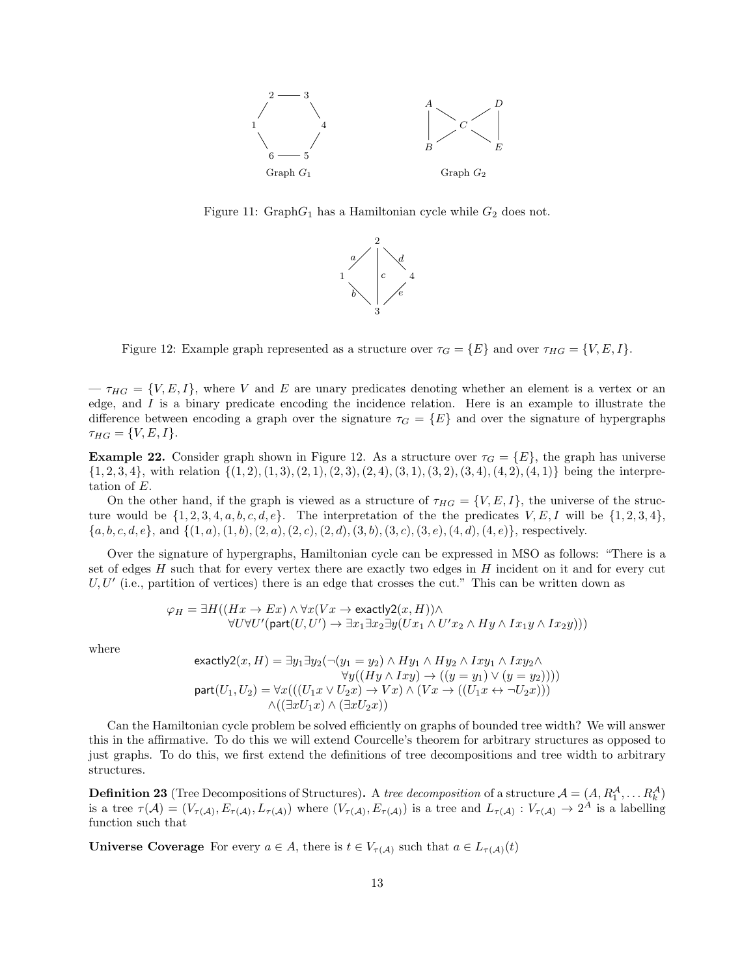

Figure 11:  $GraphG_1$  has a Hamiltonian cycle while  $G_2$  does not.



Figure 12: Example graph represented as a structure over  $\tau_G = \{E\}$  and over  $\tau_{HG} = \{V, E, I\}$ .

 $-\tau_{HG} = \{V, E, I\}$ , where V and E are unary predicates denoting whether an element is a vertex or an edge, and I is a binary predicate encoding the incidence relation. Here is an example to illustrate the difference between encoding a graph over the signature  $\tau_G = \{E\}$  and over the signature of hypergraphs  $\tau_{HG} = \{V, E, I\}.$ 

**Example 22.** Consider graph shown in Figure 12. As a structure over  $\tau_G = \{E\}$ , the graph has universe  $\{1, 2, 3, 4\}$ , with relation  $\{(1, 2), (1, 3), (2, 1), (2, 3), (2, 4), (3, 1), (3, 2), (3, 4), (4, 2), (4, 1)\}\$  being the interpretation of E.

On the other hand, if the graph is viewed as a structure of  $\tau_{HG} = \{V, E, I\}$ , the universe of the structure would be  $\{1, 2, 3, 4, a, b, c, d, e\}$ . The interpretation of the the predicates  $V, E, I$  will be  $\{1, 2, 3, 4\}$ ,  $\{a, b, c, d, e\}$ , and  $\{(1, a), (1, b), (2, a), (2, c), (2, d), (3, b), (3, c), (3, e), (4, d), (4, e)\}$ , respectively.

Over the signature of hypergraphs, Hamiltonian cycle can be expressed in MSO as follows: "There is a set of edges H such that for every vertex there are exactly two edges in H incident on it and for every cut  $U, U'$  (i.e., partition of vertices) there is an edge that crosses the cut." This can be written down as

$$
\varphi_H = \exists H((Hx \to Ex) \land \forall x(Vx \to exactly2(x,H)) \land \forall U \forall U'(\text{part}(U,U') \to \exists x_1 \exists x_2 \exists y(Ux_1 \land U'x_2 \land Hy \land Ix_1y \land Ix_2y)))
$$

where

$$
\begin{array}{c} \mathsf{exactly2}(x,H)=\exists y_1 \exists y_2 (\neg (y_1=y_2) \wedge Hy_1 \wedge Hy_2 \wedge Ixy_1 \wedge Ixy_2 \wedge \\ \forall y((Hy \wedge Ixy) \rightarrow ((y=y_1) \vee (y=y_2))))\\ \mathsf{part}(U_1,U_2)=\forall x(((U_1x \vee U_2x) \rightarrow Vx) \wedge (Vx \rightarrow ((U_1x \leftrightarrow \neg U_2x)))\\ \wedge ((\exists xU_1x) \wedge (\exists xU_2x))\end{array}
$$

Can the Hamiltonian cycle problem be solved efficiently on graphs of bounded tree width? We will answer this in the affirmative. To do this we will extend Courcelle's theorem for arbitrary structures as opposed to just graphs. To do this, we first extend the definitions of tree decompositions and tree width to arbitrary structures.

**Definition 23** (Tree Decompositions of Structures). A *tree decomposition* of a structure  $A = (A, R_1^A, \dots R_k^A)$ is a tree  $\tau(A)=(V_{\tau(A)},E_{\tau(A)},L_{\tau(A)})$  where  $(V_{\tau(A)},E_{\tau(A)})$  is a tree and  $L_{\tau(A)}:V_{\tau(A)}\to 2^A$  is a labelling function such that

**Universe Coverage** For every  $a \in A$ , there is  $t \in V_{\tau(A)}$  such that  $a \in L_{\tau(A)}(t)$